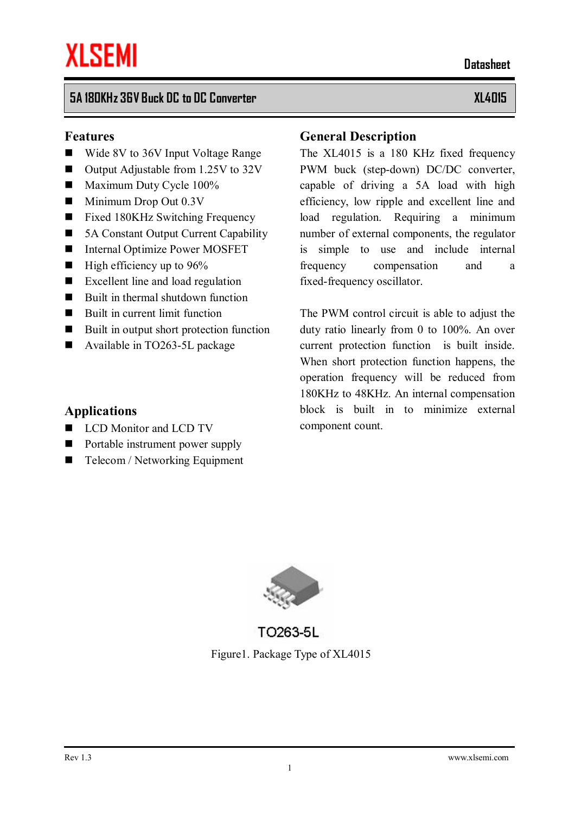### **5A 180KHz 36V Buck DC to DC Converter XL4015**

#### **Features**

- Wide 8V to 36V Input Voltage Range
- $\blacksquare$  Output Adjustable from 1.25V to 32V
- $\blacksquare$  Maximum Duty Cycle 100%
- $\blacksquare$  Minimum Drop Out 0.3V
- $\blacksquare$  Fixed 180KHz Switching Frequency
- 5A Constant Output Current Capability
- $\blacksquare$  Internal Optimize Power MOSFET
- $\blacksquare$  High efficiency up to 96%
- $\blacksquare$  Excellent line and load regulation
- $\blacksquare$  Built in thermal shutdown function
- $\blacksquare$  Built in current limit function
- Built in output short protection function
- $\blacksquare$  Available in TO263-5L package

#### **Applications**

- **LCD** Monitor and LCD TV
- $\blacksquare$  Portable instrument power supply
- $\blacksquare$  Telecom / Networking Equipment

#### **General Description**

The XL4015 is a 180 KHz fixed frequency PWM buck (step-down) DC/DC converter, capable of driving a 5A load with high efficiency, low ripple and excellent line and load regulation. Requiring a minimum number of external components, the regulator is simple to use and include internal frequency compensation and a fixed-frequency oscillator.

The PWM control circuit is able to adjust the duty ratio linearly from 0 to 100%. An over current protection function is built inside. When short protection function happens, the operation frequency will be reduced from 180KHz to 48KHz. An internal compensation block is built in to minimize external component count.



TO263-5L Figure1. Package Type of XL4015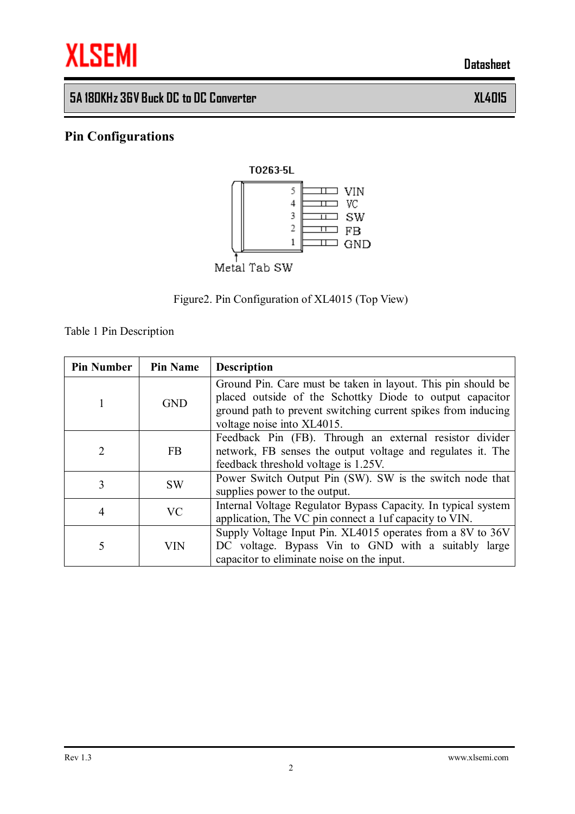

## **5A 180KHz 36V Buck DC to DC Converter XL4015**

## **Pin Configurations**



### Figure2. Pin Configuration of XL4015 (Top View)

Table 1 Pin Description

| <b>Pin Number</b> | <b>Pin Name</b> | <b>Description</b>                                                                                                                                                                                                      |
|-------------------|-----------------|-------------------------------------------------------------------------------------------------------------------------------------------------------------------------------------------------------------------------|
|                   | <b>GND</b>      | Ground Pin. Care must be taken in layout. This pin should be<br>placed outside of the Schottky Diode to output capacitor<br>ground path to prevent switching current spikes from inducing<br>voltage noise into XL4015. |
| 2                 | <b>FB</b>       | Feedback Pin (FB). Through an external resistor divider<br>network, FB senses the output voltage and regulates it. The<br>feedback threshold voltage is 1.25V.                                                          |
| 3                 | <b>SW</b>       | Power Switch Output Pin (SW). SW is the switch node that<br>supplies power to the output.                                                                                                                               |
| 4                 | <b>VC</b>       | Internal Voltage Regulator Bypass Capacity. In typical system<br>application, The VC pin connect a 1uf capacity to VIN.                                                                                                 |
| 5                 | VIN             | Supply Voltage Input Pin. XL4015 operates from a 8V to 36V<br>DC voltage. Bypass Vin to GND with a suitably large<br>capacitor to eliminate noise on the input.                                                         |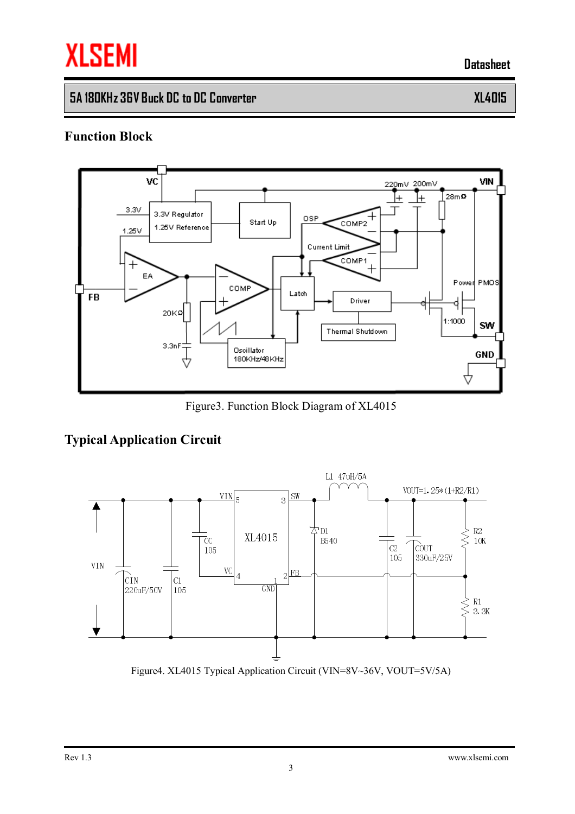# **XLSEMI**

 **Datasheet**

# **5A 180KHz 36V Buck DC to DC Converter XL4015**

#### **Function Block**



Figure3. Function Block Diagram of XL4015

## **Typical Application Circuit**



Figure4. XL4015 Typical Application Circuit (VIN=8V~36V, VOUT=5V/5A)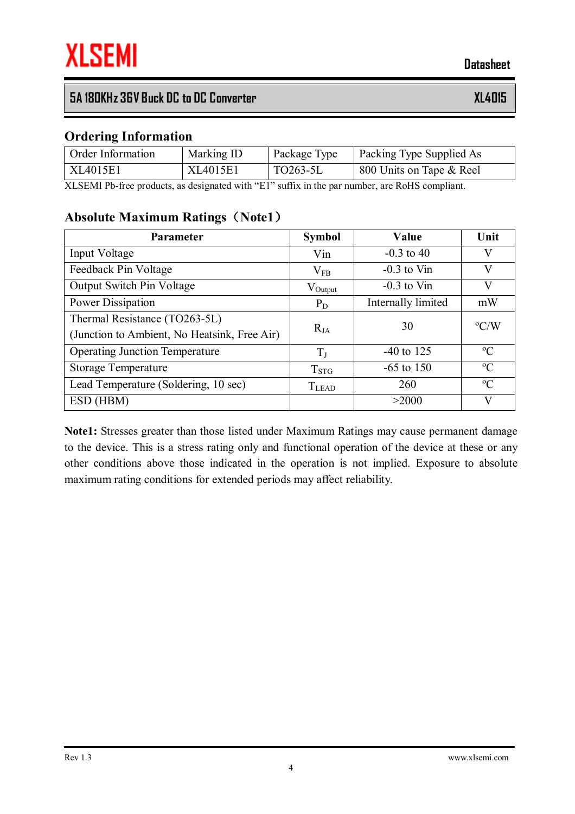## **5A 180KHz 36V Buck DC to DC Converter XL4015**

#### **Ordering Information**

| <b>Order Information</b> | Marking ID | Package Type | Packing Type Supplied As |
|--------------------------|------------|--------------|--------------------------|
| XL4015E1                 | XL4015E1   | TO263-5L     | 800 Units on Tape & Reel |

XLSEMI Pb-free products, as designated with "E1" suffix in the par number, are RoHS compliant.

#### **Absolute Maximum Ratings(Note1)**

| <b>Parameter</b>                             | <b>Symbol</b> | Value              | Unit          |
|----------------------------------------------|---------------|--------------------|---------------|
| Input Voltage                                | Vin           | $-0.3$ to 40       | V             |
| Feedback Pin Voltage                         | $V_{FB}$      | $-0.3$ to Vin      | V             |
| <b>Output Switch Pin Voltage</b>             | $V_{Output}$  | $-0.3$ to Vin      | V             |
| Power Dissipation                            | $P_D$         | Internally limited | mW            |
| Thermal Resistance (TO263-5L)                |               | 30                 | $\rm ^{o}C/W$ |
| (Junction to Ambient, No Heatsink, Free Air) | $R_{JA}$      |                    |               |
| <b>Operating Junction Temperature</b>        | $T_{J}$       | $-40$ to 125       | $\rm ^{o}C$   |
| <b>Storage Temperature</b>                   | $T_{\rm STG}$ | $-65$ to 150       | $\rm ^{o}C$   |
| Lead Temperature (Soldering, 10 sec)         | $T_{LEAD}$    | 260                | $\rm ^{o}C$   |
| ESD (HBM)                                    |               | >2000              | V             |

**Note1:** Stresses greater than those listed under Maximum Ratings may cause permanent damage to the device. This is a stress rating only and functional operation of the device at these or any other conditions above those indicated in the operation is not implied. Exposure to absolute maximum rating conditions for extended periods may affect reliability.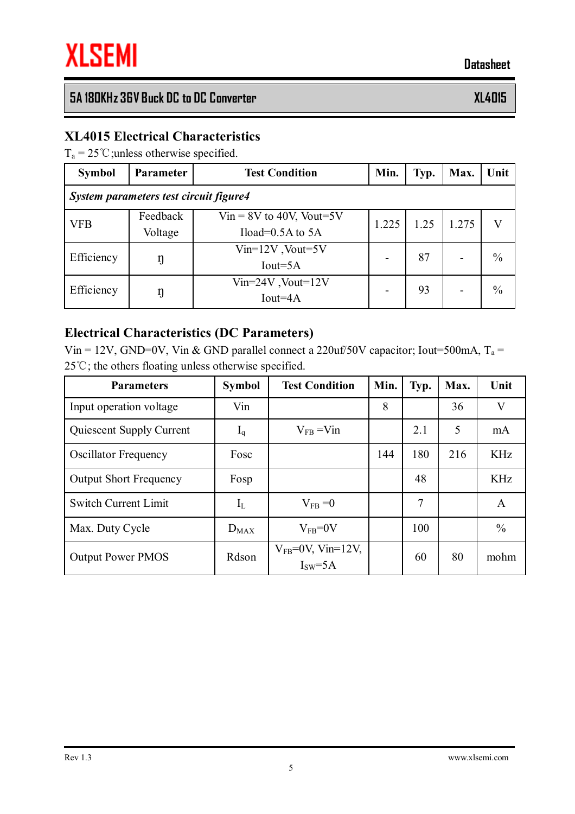## **5A 180KHz 36V Buck DC to DC Converter XL4015**

#### **XL4015 Electrical Characteristics**

 $T_a = 25 \degree C$ ; unless otherwise specified.

| <b>Symbol</b>                          | <b>Parameter</b>    | <b>Test Condition</b>                                | Min.  | Typ. | Max.  | Unit |  |  |
|----------------------------------------|---------------------|------------------------------------------------------|-------|------|-------|------|--|--|
| System parameters test circuit figure4 |                     |                                                      |       |      |       |      |  |  |
| <b>VFB</b>                             | Feedback<br>Voltage | $V$ in = 8V to 40V, Vout=5V<br>Iload= $0.5A$ to $5A$ | 1.225 | 1.25 | 1.275 |      |  |  |
| Efficiency                             |                     | $Vin=12V$ , Vout=5V<br>$Iout=5A$                     |       | 87   |       | $\%$ |  |  |
| Efficiency                             | ŋ                   | $Vin=24V$ , $Vout=12V$<br>$Iout=4A$                  |       | 93   |       | $\%$ |  |  |

#### **Electrical Characteristics (DC Parameters)**

Vin = 12V, GND=0V, Vin & GND parallel connect a 220uf/50V capacitor; Iout=500mA,  $T_a$  = 25℃; the others floating unless otherwise specified.

| <b>Parameters</b>             | <b>Symbol</b> | <b>Test Condition</b>              | Min. | Typ. | Max. | Unit                    |
|-------------------------------|---------------|------------------------------------|------|------|------|-------------------------|
| Input operation voltage       | Vin           |                                    | 8    |      | 36   | $\overline{\mathsf{V}}$ |
| Quiescent Supply Current      | $I_q$         | $V_{FB} = V_{1n}$                  |      | 2.1  | 5    | mA                      |
| <b>Oscillator Frequency</b>   | Fosc          |                                    | 144  | 180  | 216  | <b>KHz</b>              |
| <b>Output Short Frequency</b> | Fosp          |                                    |      | 48   |      | <b>KHz</b>              |
| <b>Switch Current Limit</b>   | $I_{L}$       | $V_{FB} = 0$                       |      | 7    |      | A                       |
| Max. Duty Cycle               | $D_{MAX}$     | $V_{FB} = 0V$                      |      | 100  |      | $\frac{0}{0}$           |
| <b>Output Power PMOS</b>      | Rdson         | $V_{FB}$ =0V, Vin=12V,<br>$ISW=5A$ |      | 60   | 80   | mohm                    |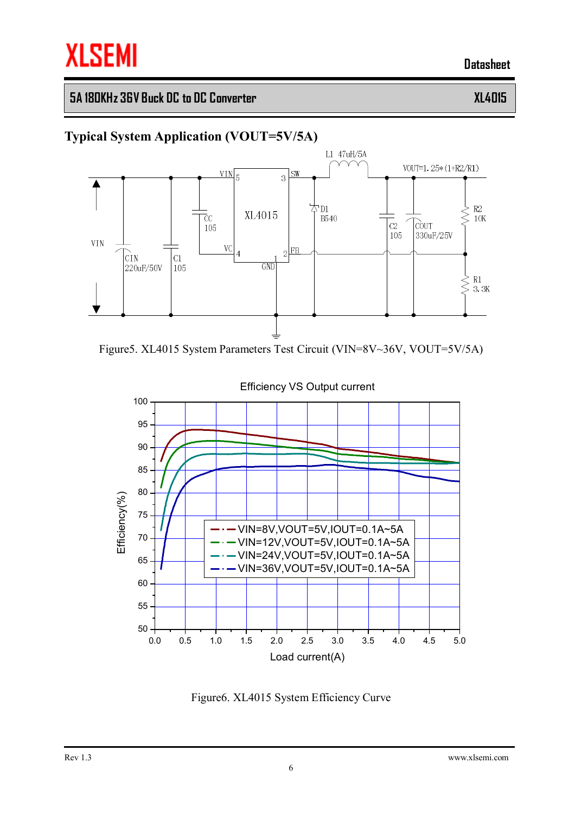## **5A 180KHz 36V Buck DC to DC Converter XL4015**

## **Typical System Application (VOUT=5V/5A)**



Figure5. XL4015 System Parameters Test Circuit (VIN=8V~36V, VOUT=5V/5A)



#### Efficiency VS Output current

Figure6. XL4015 System Efficiency Curve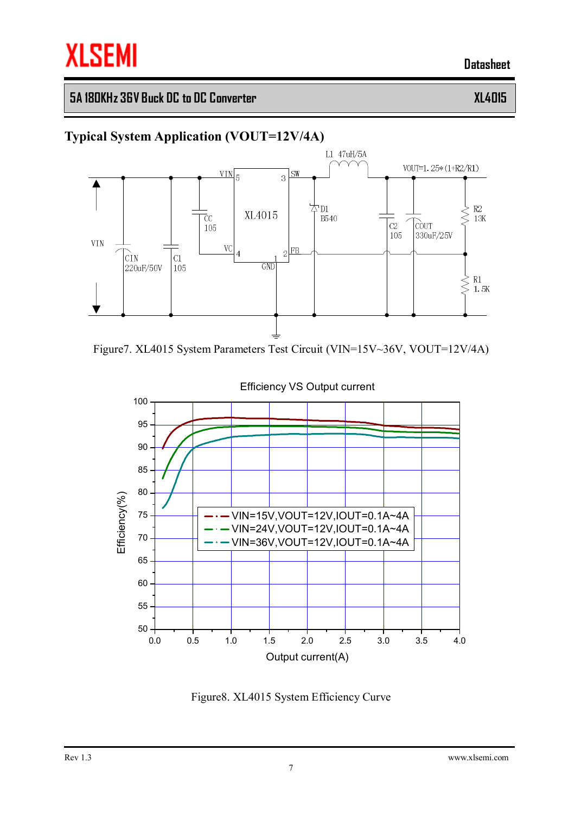## **5A 180KHz 36V Buck DC to DC Converter XL4015**

### **Typical System Application (VOUT=12V/4A)**







#### Efficiency VS Output current

Figure8. XL4015 System Efficiency Curve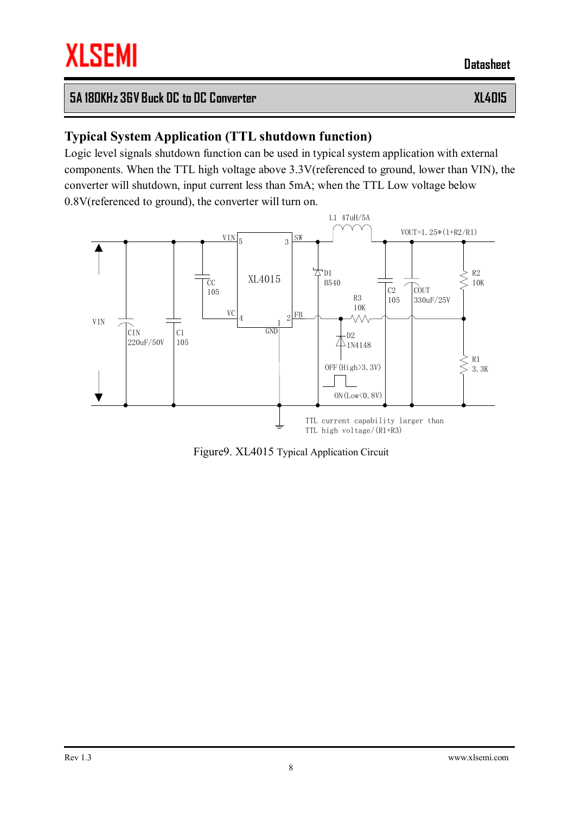## **5A 180KHz 36V Buck DC to DC Converter XL4015**

## **Typical System Application (TTL shutdown function)**

Logic level signals shutdown function can be used in typical system application with external components. When the TTL high voltage above 3.3V(referenced to ground, lower than VIN), the converter will shutdown, input current less than 5mA; when the TTL Low voltage below 0.8V(referenced to ground), the converter will turn on.



Figure9. XL4015 Typical Application Circuit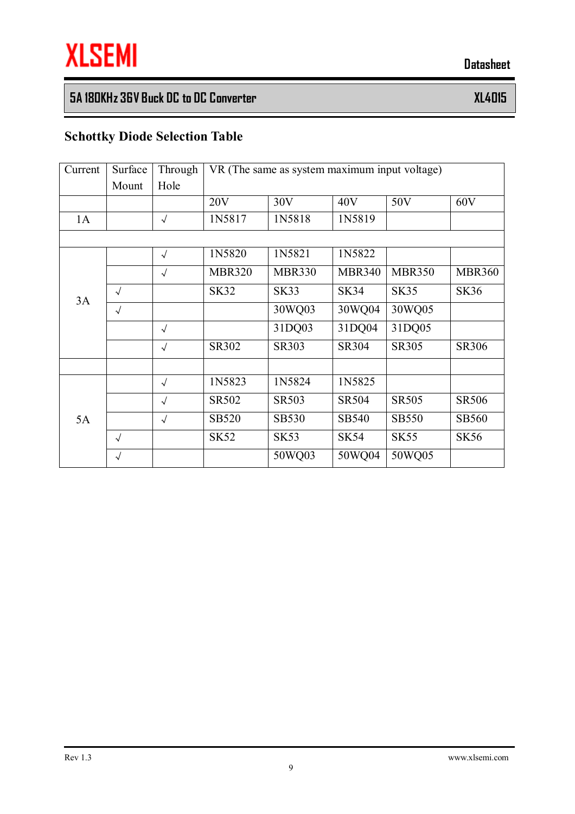# **5A 180KHz 36V Buck DC to DC Converter XL4015**

# **Schottky Diode Selection Table**

| Current | Surface    | Through    | VR (The same as system maximum input voltage) |               |               |               |               |
|---------|------------|------------|-----------------------------------------------|---------------|---------------|---------------|---------------|
|         | Mount      | Hole       |                                               |               |               |               |               |
|         |            |            | 20V                                           | 30V           | 40V           | 50V           | 60V           |
| 1A      |            | $\sqrt{ }$ | 1N5817                                        | 1N5818        | 1N5819        |               |               |
|         |            |            |                                               |               |               |               |               |
|         |            | $\sqrt{ }$ | 1N5820                                        | 1N5821        | 1N5822        |               |               |
|         |            | $\sqrt{ }$ | <b>MBR320</b>                                 | <b>MBR330</b> | <b>MBR340</b> | <b>MBR350</b> | <b>MBR360</b> |
| 3A      | $\sqrt{ }$ |            | <b>SK32</b>                                   | <b>SK33</b>   | <b>SK34</b>   | <b>SK35</b>   | <b>SK36</b>   |
|         | $\sqrt{ }$ |            |                                               | 30WQ03        | 30WQ04        | 30WQ05        |               |
|         |            | $\sqrt{ }$ |                                               | 31DQ03        | 31DQ04        | 31DQ05        |               |
|         |            | $\sqrt{ }$ | SR302                                         | SR303         | SR304         | SR305         | <b>SR306</b>  |
|         |            |            |                                               |               |               |               |               |
|         |            | $\sqrt{ }$ | 1N5823                                        | 1N5824        | 1N5825        |               |               |
|         |            | $\sqrt{ }$ | SR502                                         | <b>SR503</b>  | <b>SR504</b>  | <b>SR505</b>  | <b>SR506</b>  |
| 5A      |            | $\sqrt{2}$ | <b>SB520</b>                                  | <b>SB530</b>  | SB540         | <b>SB550</b>  | <b>SB560</b>  |
|         | $\sqrt{ }$ |            | <b>SK52</b>                                   | <b>SK53</b>   | <b>SK54</b>   | <b>SK55</b>   | <b>SK56</b>   |
|         | $\sqrt{ }$ |            |                                               | 50WQ03        | 50WQ04        | 50WQ05        |               |